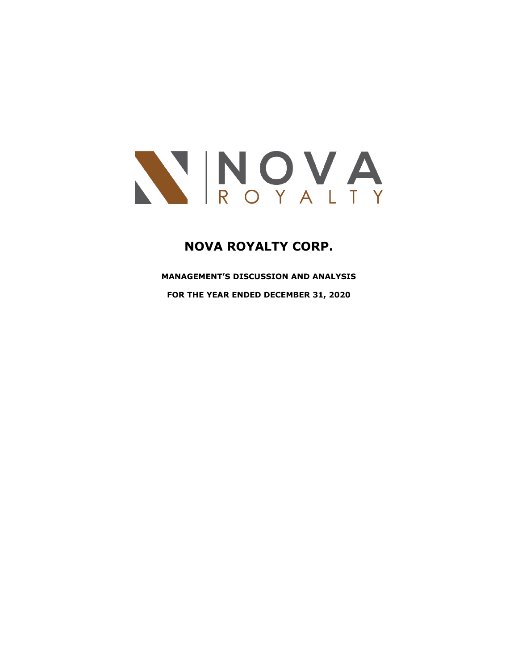

# **NOVA ROYALTY CORP.**

**MANAGEMENT'S DISCUSSION AND ANALYSIS**

**FOR THE YEAR ENDED DECEMBER 31, 2020**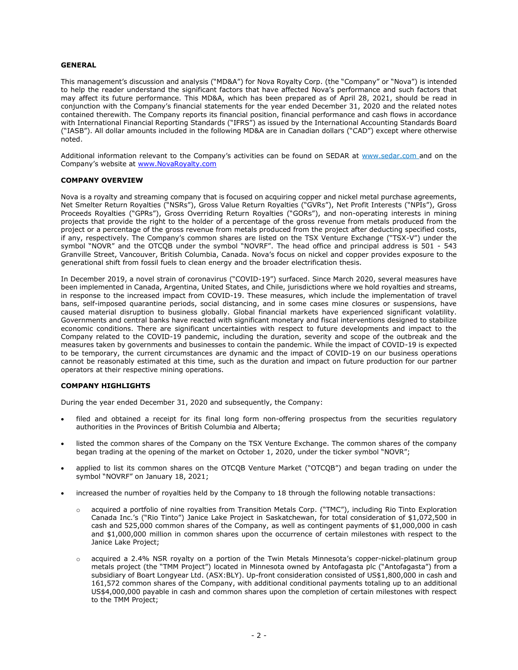#### **GENERAL**

This management's discussion and analysis ("MD&A") for Nova Royalty Corp. (the "Company" or "Nova") is intended to help the reader understand the significant factors that have affected Nova's performance and such factors that may affect its future performance. This MD&A, which has been prepared as of April 28, 2021, should be read in conjunction with the Company's financial statements for the year ended December 31, 2020 and the related notes contained therewith. The Company reports its financial position, financial performance and cash flows in accordance with International Financial Reporting Standards ("IFRS") as issued by the International Accounting Standards Board ("IASB"). All dollar amounts included in the following MD&A are in Canadian dollars ("CAD") except where otherwise noted.

Additional information relevant to the Company's activities can be found on SEDAR at [www.sedar.com](http://www.sedar.com/) and on the Company's website at [www.NovaRoyalty.com](http://www.novaroyalty.com/)

#### **COMPANY OVERVIEW**

Nova is a royalty and streaming company that is focused on acquiring copper and nickel metal purchase agreements, Net Smelter Return Royalties ("NSRs"), Gross Value Return Royalties ("GVRs"), Net Profit Interests ("NPIs"), Gross Proceeds Royalties ("GPRs"), Gross Overriding Return Royalties ("GORs"), and non-operating interests in mining projects that provide the right to the holder of a percentage of the gross revenue from metals produced from the project or a percentage of the gross revenue from metals produced from the project after deducting specified costs, if any, respectively. The Company's common shares are listed on the TSX Venture Exchange ("TSX-V") under the symbol "NOVR" and the OTCQB under the symbol "NOVRF". The head office and principal address is 501 - 543 Granville Street, Vancouver, British Columbia, Canada. Nova's focus on nickel and copper provides exposure to the generational shift from fossil fuels to clean energy and the broader electrification thesis.

In December 2019, a novel strain of coronavirus ("COVID-19") surfaced. Since March 2020, several measures have been implemented in Canada, Argentina, United States, and Chile, jurisdictions where we hold royalties and streams, in response to the increased impact from COVID-19. These measures, which include the implementation of travel bans, self-imposed quarantine periods, social distancing, and in some cases mine closures or suspensions, have caused material disruption to business globally. Global financial markets have experienced significant volatility. Governments and central banks have reacted with significant monetary and fiscal interventions designed to stabilize economic conditions. There are significant uncertainties with respect to future developments and impact to the Company related to the COVID-19 pandemic, including the duration, severity and scope of the outbreak and the measures taken by governments and businesses to contain the pandemic. While the impact of COVID-19 is expected to be temporary, the current circumstances are dynamic and the impact of COVID-19 on our business operations cannot be reasonably estimated at this time, such as the duration and impact on future production for our partner operators at their respective mining operations.

#### **COMPANY HIGHLIGHTS**

During the year ended December 31, 2020 and subsequently, the Company:

- filed and obtained a receipt for its final long form non-offering prospectus from the securities regulatory authorities in the Provinces of British Columbia and Alberta;
- listed the common shares of the Company on the TSX Venture Exchange. The common shares of the company began trading at the opening of the market on October 1, 2020, under the ticker symbol "NOVR";
- applied to list its common shares on the OTCQB Venture Market ("OTCQB") and began trading on under the symbol "NOVRF" on January 18, 2021;
- increased the number of royalties held by the Company to 18 through the following notable transactions:
	- o acquired a portfolio of nine royalties from Transition Metals Corp. ("TMC"), including Rio Tinto Exploration Canada Inc.'s ("Rio Tinto") Janice Lake Project in Saskatchewan, for total consideration of \$1,072,500 in cash and 525,000 common shares of the Company, as well as contingent payments of \$1,000,000 in cash and \$1,000,000 million in common shares upon the occurrence of certain milestones with respect to the Janice Lake Project;
	- o acquired a 2.4% NSR royalty on a portion of the Twin Metals Minnesota's copper-nickel-platinum group metals project (the "TMM Project") located in Minnesota owned by Antofagasta plc ("Antofagasta") from a subsidiary of Boart Longyear Ltd. (ASX:BLY). Up-front consideration consisted of US\$1,800,000 in cash and 161,572 common shares of the Company, with additional conditional payments totaling up to an additional US\$4,000,000 payable in cash and common shares upon the completion of certain milestones with respect to the TMM Project;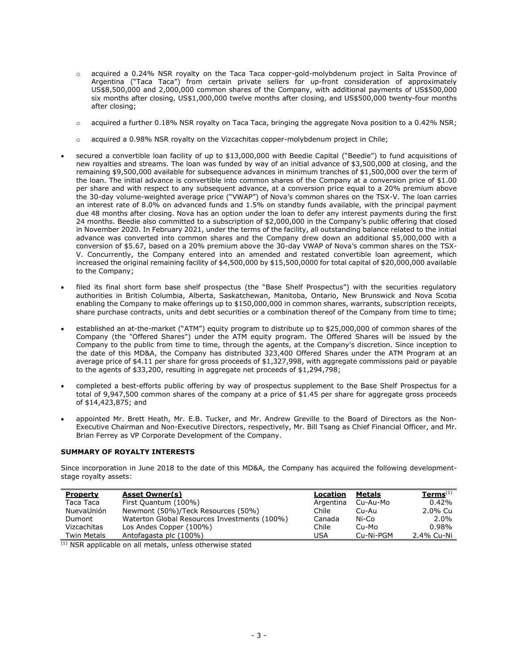- o acquired a 0.24% NSR royalty on the Taca Taca copper-gold-molybdenum project in Salta Province of Argentina ("Taca Taca") from certain private sellers for up-front consideration of approximately US\$8,500,000 and 2,000,000 common shares of the Company, with additional payments of US\$500,000 six months after closing, US\$1,000,000 twelve months after closing, and US\$500,000 twenty-four months after closing;
- $\circ$  acquired a further 0.18% NSR royalty on Taca Taca, bringing the aggregate Nova position to a 0.42% NSR;
- $\circ$  acquired a 0.98% NSR royalty on the Vizcachitas copper-molybdenum project in Chile;
- secured a convertible loan facility of up to \$13,000,000 with Beedie Capital ("Beedie") to fund acquisitions of new royalties and streams. The loan was funded by way of an initial advance of \$3,500,000 at closing, and the remaining \$9,500,000 available for subsequence advances in minimum tranches of \$1,500,000 over the term of the loan. The initial advance is convertible into common shares of the Company at a conversion price of \$1.00 per share and with respect to any subsequent advance, at a conversion price equal to a 20% premium above the 30-day volume-weighted average price ("VWAP") of Nova's common shares on the TSX-V. The loan carries an interest rate of 8.0% on advanced funds and 1.5% on standby funds available, with the principal payment due 48 months after closing. Nova has an option under the loan to defer any interest payments during the first 24 months. Beedie also committed to a subscription of \$2,000,000 in the Company's public offering that closed in November 2020. In February 2021, under the terms of the facility, all outstanding balance related to the initial advance was converted into common shares and the Company drew down an additional \$5,000,000 with a conversion of \$5.67, based on a 20% premium above the 30-day VWAP of Nova's common shares on the TSX-V. Concurrently, the Company entered into an amended and restated convertible loan agreement, which increased the original remaining facility of \$4,500,000 by \$15,500,0000 for total capital of \$20,000,000 available to the Company;
- filed its final short form base shelf prospectus (the "Base Shelf Prospectus") with the securities regulatory authorities in British Columbia, Alberta, Saskatchewan, Manitoba, Ontario, New Brunswick and Nova Scotia enabling the Company to make offerings up to \$150,000,000 in common shares, warrants, subscription receipts, share purchase contracts, units and debt securities or a combination thereof of the Company from time to time;
- established an at-the-market ("ATM") equity program to distribute up to \$25,000,000 of common shares of the Company (the "Offered Shares") under the ATM equity program. The Offered Shares will be issued by the Company to the public from time to time, through the agents, at the Company's discretion. Since inception to the date of this MD&A, the Company has distributed 323,400 Offered Shares under the ATM Program at an average price of \$4.11 per share for gross proceeds of \$1,327,998, with aggregate commissions paid or payable to the agents of \$33,200, resulting in aggregate net proceeds of \$1,294,798;
- completed a best-efforts public offering by way of prospectus supplement to the Base Shelf Prospectus for a total of 9,947,500 common shares of the company at a price of \$1.45 per share for aggregate gross proceeds of \$14,423,875; and
- appointed Mr. Brett Heath, Mr. E.B. Tucker, and Mr. Andrew Greville to the Board of Directors as the Non-Executive Chairman and Non-Executive Directors, respectively, Mr. Bill Tsang as Chief Financial Officer, and Mr. Brian Ferrey as VP Corporate Development of the Company.

# **SUMMARY OF ROYALTY INTERESTS**

Since incorporation in June 2018 to the date of this MD&A, the Company has acquired the following developmentstage royalty assets:

| <b>Property</b>    | <b>Asset Owner(s)</b>                        | Location  | Metals    | $Terms^{(1)}$ |
|--------------------|----------------------------------------------|-----------|-----------|---------------|
| Taca Taca          | First Quantum (100%)                         | Argentina | Cu-Au-Mo  | 0.42%         |
| NuevaUnión         | Newmont (50%)/Teck Resources (50%)           | Chile     | Cu-Au     | 2.0% Cu       |
| Dumont             | Waterton Global Resources Investments (100%) | Canada    | Ni-Co     | 2.0%          |
| Vizcachitas        | Los Andes Copper (100%)                      | Chile     | Cu-Mo     | 0.98%         |
| <b>Twin Metals</b> | Antofagasta plc (100%)                       | USA       | Cu-Ni-PGM | 2.4% Cu-Ni    |

(1) NSR applicable on all metals, unless otherwise stated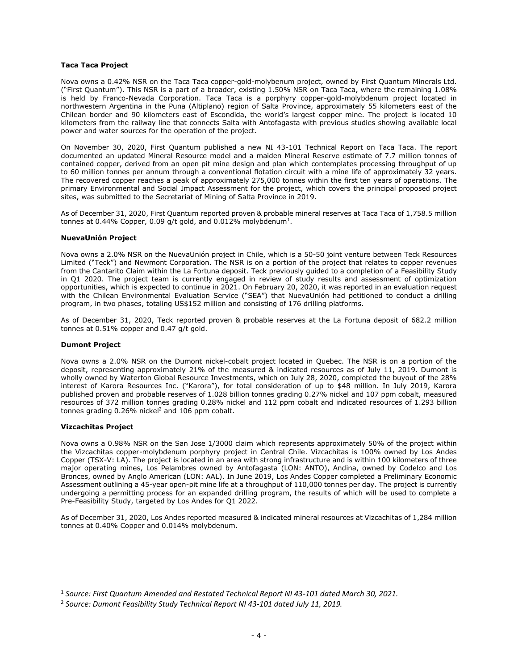#### **Taca Taca Project**

Nova owns a 0.42% NSR on the Taca Taca copper-gold-molybenum project, owned by First Quantum Minerals Ltd. ("First Quantum"). This NSR is a part of a broader, existing 1.50% NSR on Taca Taca, where the remaining 1.08% is held by Franco-Nevada Corporation. Taca Taca is a porphyry copper-gold-molybdenum project located in northwestern Argentina in the Puna (Altiplano) region of Salta Province, approximately 55 kilometers east of the Chilean border and 90 kilometers east of Escondida, the world's largest copper mine. The project is located 10 kilometers from the railway line that connects Salta with Antofagasta with previous studies showing available local power and water sources for the operation of the project.

On November 30, 2020, First Quantum published a new NI 43-101 Technical Report on Taca Taca. The report documented an updated Mineral Resource model and a maiden Mineral Reserve estimate of 7.7 million tonnes of contained copper, derived from an open pit mine design and plan which contemplates processing throughput of up to 60 million tonnes per annum through a conventional flotation circuit with a mine life of approximately 32 years. The recovered copper reaches a peak of approximately 275,000 tonnes within the first ten years of operations. The primary Environmental and Social Impact Assessment for the project, which covers the principal proposed project sites, was submitted to the Secretariat of Mining of Salta Province in 2019.

As of December 31, 2020, First Quantum reported proven & probable mineral reserves at Taca Taca of 1,758.5 million tonnes at 0.44% Copper, 0.09 g/t gold, and 0.012% molybdenum<sup>1</sup>.

# **NuevaUnión Project**

Nova owns a 2.0% NSR on the NuevaUnión project in Chile, which is a 50-50 joint venture between Teck Resources Limited ("Teck") and Newmont Corporation. The NSR is on a portion of the project that relates to copper revenues from the Cantarito Claim within the La Fortuna deposit. Teck previously guided to a completion of a Feasibility Study in Q1 2020. The project team is currently engaged in review of study results and assessment of optimization opportunities, which is expected to continue in 2021. On February 20, 2020, it was reported in an evaluation request with the Chilean Environmental Evaluation Service ("SEA") that NuevaUnión had petitioned to conduct a drilling program, in two phases, totaling US\$152 million and consisting of 176 drilling platforms.

As of December 31, 2020, Teck reported proven & probable reserves at the La Fortuna deposit of 682.2 million tonnes at 0.51% copper and 0.47 g/t gold.

#### **Dumont Project**

Nova owns a 2.0% NSR on the Dumont nickel-cobalt project located in Quebec. The NSR is on a portion of the deposit, representing approximately 21% of the measured & indicated resources as of July 11, 2019. Dumont is wholly owned by Waterton Global Resource Investments, which on July 28, 2020, completed the buyout of the 28% interest of Karora Resources Inc. ("Karora"), for total consideration of up to \$48 million. In July 2019, Karora published proven and probable reserves of 1.028 billion tonnes grading 0.27% nickel and 107 ppm cobalt, measured resources of 372 million tonnes grading 0.28% nickel and 112 ppm cobalt and indicated resources of 1.293 billion tonnes grading  $0.26\%$  nickel<sup>2</sup> and  $106$  ppm cobalt.

#### **Vizcachitas Project**

Nova owns a 0.98% NSR on the San Jose 1/3000 claim which represents approximately 50% of the project within the Vizcachitas copper-molybdenum porphyry project in Central Chile. Vizcachitas is 100% owned by Los Andes Copper (TSX-V: LA). The project is located in an area with strong infrastructure and is within 100 kilometers of three major operating mines, Los Pelambres owned by Antofagasta (LON: ANTO), Andina, owned by Codelco and Los Bronces, owned by Anglo American (LON: AAL). In June 2019, Los Andes Copper completed a Preliminary Economic Assessment outlining a 45-year open-pit mine life at a throughput of 110,000 tonnes per day. The project is currently undergoing a permitting process for an expanded drilling program, the results of which will be used to complete a Pre-Feasibility Study, targeted by Los Andes for Q1 2022.

As of December 31, 2020, Los Andes reported measured & indicated mineral resources at Vizcachitas of 1,284 million tonnes at 0.40% Copper and 0.014% molybdenum.

<sup>1</sup> *Source: First Quantum Amended and Restated Technical Report NI 43-101 dated March 30, 2021.*

<sup>2</sup> *Source: Dumont Feasibility Study Technical Report NI 43-101 dated July 11, 2019.*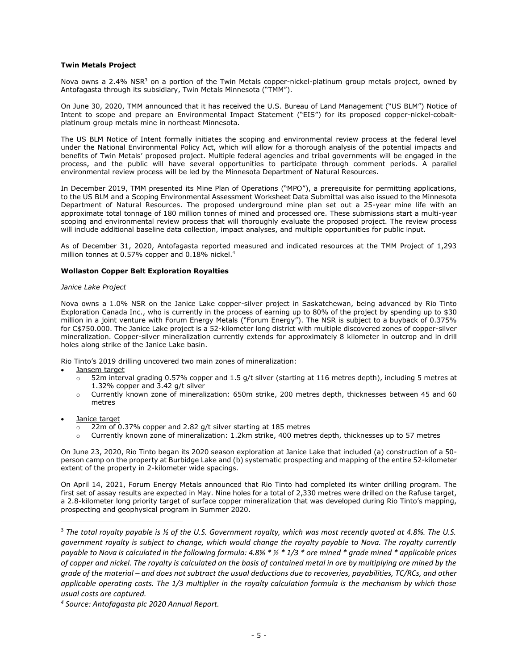#### **Twin Metals Project**

Nova owns a 2.4% NSR<sup>3</sup> on a portion of the Twin Metals copper-nickel-platinum group metals project, owned by Antofagasta through its subsidiary, Twin Metals Minnesota ("TMM").

On June 30, 2020, TMM announced that it has received the U.S. Bureau of Land Management ("US BLM") Notice of Intent to scope and prepare an Environmental Impact Statement ("EIS") for its proposed copper-nickel-cobaltplatinum group metals mine in northeast Minnesota.

The US BLM Notice of Intent formally initiates the scoping and environmental review process at the federal level under the National Environmental Policy Act, which will allow for a thorough analysis of the potential impacts and benefits of Twin Metals' proposed project. Multiple federal agencies and tribal governments will be engaged in the process, and the public will have several opportunities to participate through comment periods. A parallel environmental review process will be led by the Minnesota Department of Natural Resources.

In December 2019, TMM presented its Mine Plan of Operations ("MPO"), a prerequisite for permitting applications, to the US BLM and a Scoping Environmental Assessment Worksheet Data Submittal was also issued to the Minnesota Department of Natural Resources. The proposed underground mine plan set out a 25-year mine life with an approximate total tonnage of 180 million tonnes of mined and processed ore. These submissions start a multi-year scoping and environmental review process that will thoroughly evaluate the proposed project. The review process will include additional baseline data collection, impact analyses, and multiple opportunities for public input.

As of December 31, 2020, Antofagasta reported measured and indicated resources at the TMM Project of 1,293 million tonnes at 0.57% copper and 0.18% nickel.<sup>4</sup>

# **Wollaston Copper Belt Exploration Royalties**

#### *Janice Lake Project*

Nova owns a 1.0% NSR on the Janice Lake copper-silver project in Saskatchewan, being advanced by Rio Tinto Exploration Canada Inc., who is currently in the process of earning up to 80% of the project by spending up to \$30 million in a joint venture with Forum Energy Metals ("Forum Energy"). The NSR is subject to a buyback of 0.375% for C\$750.000. The Janice Lake project is a 52-kilometer long district with multiple discovered zones of copper-silver mineralization. Copper-silver mineralization currently extends for approximately 8 kilometer in outcrop and in drill holes along strike of the Janice Lake basin.

Rio Tinto's 2019 drilling uncovered two main zones of mineralization:

- Jansem target
	- $\overline{5}$  52m interval grading 0.57% copper and 1.5 g/t silver (starting at 116 metres depth), including 5 metres at 1.32% copper and 3.42 g/t silver
	- $\circ$  Currently known zone of mineralization: 650m strike, 200 metres depth, thicknesses between 45 and 60 metres
- Janice target
	- 22m of 0.37% copper and 2.82 g/t silver starting at 185 metres
	- Currently known zone of mineralization: 1.2km strike, 400 metres depth, thicknesses up to 57 metres

On June 23, 2020, Rio Tinto began its 2020 season exploration at Janice Lake that included (a) construction of a 50 person camp on the property at Burbidge Lake and (b) systematic prospecting and mapping of the entire 52-kilometer extent of the property in 2-kilometer wide spacings.

On April 14, 2021, Forum Energy Metals announced that Rio Tinto had completed its winter drilling program. The first set of assay results are expected in May. Nine holes for a total of 2,330 metres were drilled on the Rafuse target, a 2.8-kilometer long priority target of surface copper mineralization that was developed during Rio Tinto's mapping, prospecting and geophysical program in Summer 2020.

<sup>3</sup> *The total royalty payable is ½ of the U.S. Government royalty, which was most recently quoted at 4.8%. The U.S. government royalty is subject to change, which would change the royalty payable to Nova. The royalty currently payable to Nova is calculated in the following formula: 4.8% \* ½ \* 1/3 \* ore mined \* grade mined \* applicable prices of copper and nickel. The royalty is calculated on the basis of contained metal in ore by multiplying ore mined by the grade of the material – and does not subtract the usual deductions due to recoveries, payabilities, TC/RCs, and other applicable operating costs. The 1/3 multiplier in the royalty calculation formula is the mechanism by which those usual costs are captured.* 

*<sup>4</sup> Source: Antofagasta plc 2020 Annual Report.*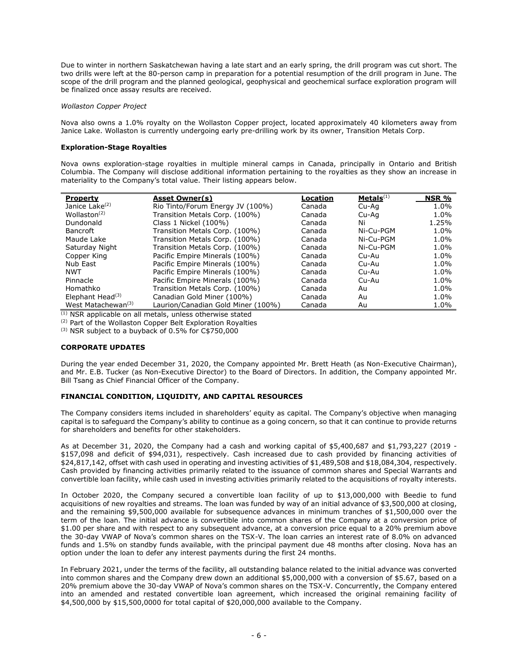Due to winter in northern Saskatchewan having a late start and an early spring, the drill program was cut short. The two drills were left at the 80-person camp in preparation for a potential resumption of the drill program in June. The scope of the drill program and the planned geological, geophysical and geochemical surface exploration program will be finalized once assay results are received.

#### *Wollaston Copper Project*

Nova also owns a 1.0% royalty on the Wollaston Copper project, located approximately 40 kilometers away from Janice Lake. Wollaston is currently undergoing early pre-drilling work by its owner, Transition Metals Corp.

# **Exploration-Stage Royalties**

Nova owns exploration-stage royalties in multiple mineral camps in Canada, principally in Ontario and British Columbia. The Company will disclose additional information pertaining to the royalties as they show an increase in materiality to the Company's total value. Their listing appears below.

| <b>Property</b>                | <b>Asset Owner(s)</b>              | Location | Metals <sup>(1)</sup> | NSR % |
|--------------------------------|------------------------------------|----------|-----------------------|-------|
| Janice Lake <sup>(2)</sup>     | Rio Tinto/Forum Energy JV (100%)   | Canada   | Cu-Aq                 | 1.0%  |
| Wollaston $(2)$                | Transition Metals Corp. (100%)     | Canada   | Cu-Aa                 | 1.0%  |
| Dundonald                      | Class 1 Nickel (100%)              | Canada   | Ni                    | 1.25% |
| <b>Bancroft</b>                | Transition Metals Corp. (100%)     | Canada   | Ni-Cu-PGM             | 1.0%  |
| Maude Lake                     | Transition Metals Corp. (100%)     | Canada   | Ni-Cu-PGM             | 1.0%  |
| Saturday Night                 | Transition Metals Corp. (100%)     | Canada   | Ni-Cu-PGM             | 1.0%  |
| Copper King                    | Pacific Empire Minerals (100%)     | Canada   | Cu-Au                 | 1.0%  |
| Nub East                       | Pacific Empire Minerals (100%)     | Canada   | Cu-Au                 | 1.0%  |
| <b>NWT</b>                     | Pacific Empire Minerals (100%)     | Canada   | Cu-Au                 | 1.0%  |
| Pinnacle                       | Pacific Empire Minerals (100%)     | Canada   | Cu-Au                 | 1.0%  |
| Homathko                       | Transition Metals Corp. (100%)     | Canada   | Au                    | 1.0%  |
| Elephant Head $(3)$            | Canadian Gold Miner (100%)         | Canada   | Au                    | 1.0%  |
| West Matachewan <sup>(3)</sup> | Laurion/Canadian Gold Miner (100%) | Canada   | Au                    | 1.0%  |

(1) NSR applicable on all metals, unless otherwise stated

(2) Part of the Wollaston Copper Belt Exploration Royalties

(3) NSR subject to a buyback of 0.5% for C\$750,000

# **CORPORATE UPDATES**

During the year ended December 31, 2020, the Company appointed Mr. Brett Heath (as Non-Executive Chairman), and Mr. E.B. Tucker (as Non-Executive Director) to the Board of Directors. In addition, the Company appointed Mr. Bill Tsang as Chief Financial Officer of the Company.

# **FINANCIAL CONDITION, LIQUIDITY, AND CAPITAL RESOURCES**

The Company considers items included in shareholders' equity as capital. The Company's objective when managing capital is to safeguard the Company's ability to continue as a going concern, so that it can continue to provide returns for shareholders and benefits for other stakeholders.

As at December 31, 2020, the Company had a cash and working capital of \$5,400,687 and \$1,793,227 (2019 - \$157,098 and deficit of \$94,031), respectively. Cash increased due to cash provided by financing activities of \$24,817,142, offset with cash used in operating and investing activities of \$1,489,508 and \$18,084,304, respectively. Cash provided by financing activities primarily related to the issuance of common shares and Special Warrants and convertible loan facility, while cash used in investing activities primarily related to the acquisitions of royalty interests.

In October 2020, the Company secured a convertible loan facility of up to \$13,000,000 with Beedie to fund acquisitions of new royalties and streams. The loan was funded by way of an initial advance of \$3,500,000 at closing, and the remaining \$9,500,000 available for subsequence advances in minimum tranches of \$1,500,000 over the term of the loan. The initial advance is convertible into common shares of the Company at a conversion price of \$1.00 per share and with respect to any subsequent advance, at a conversion price equal to a 20% premium above the 30-day VWAP of Nova's common shares on the TSX-V. The loan carries an interest rate of 8.0% on advanced funds and 1.5% on standby funds available, with the principal payment due 48 months after closing. Nova has an option under the loan to defer any interest payments during the first 24 months.

In February 2021, under the terms of the facility, all outstanding balance related to the initial advance was converted into common shares and the Company drew down an additional \$5,000,000 with a conversion of \$5.67, based on a 20% premium above the 30-day VWAP of Nova's common shares on the TSX-V. Concurrently, the Company entered into an amended and restated convertible loan agreement, which increased the original remaining facility of \$4,500,000 by \$15,500,0000 for total capital of \$20,000,000 available to the Company.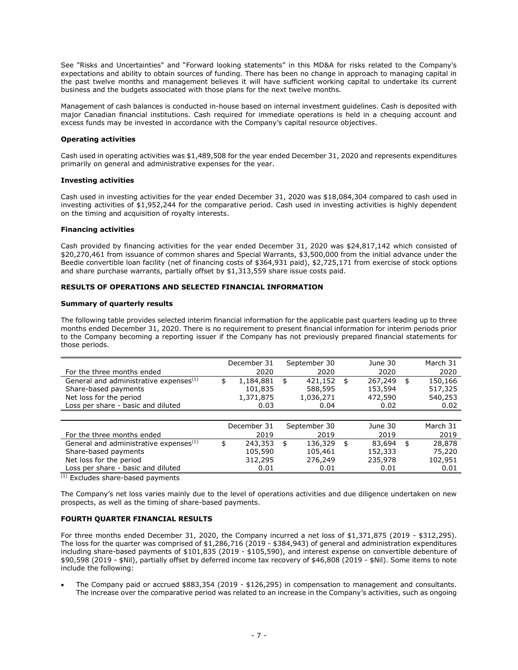See "Risks and Uncertainties" and "Forward looking statements" in this MD&A for risks related to the Company's expectations and ability to obtain sources of funding. There has been no change in approach to managing capital in the past twelve months and management believes it will have sufficient working capital to undertake its current business and the budgets associated with those plans for the next twelve months.

Management of cash balances is conducted in-house based on internal investment guidelines. Cash is deposited with major Canadian financial institutions. Cash required for immediate operations is held in a chequing account and excess funds may be invested in accordance with the Company's capital resource objectives.

#### **Operating activities**

Cash used in operating activities was \$1,489,508 for the year ended December 31, 2020 and represents expenditures primarily on general and administrative expenses for the year.

#### **Investing activities**

Cash used in investing activities for the year ended December 31, 2020 was \$18,084,304 compared to cash used in investing activities of \$1,952,244 for the comparative period. Cash used in investing activities is highly dependent on the timing and acquisition of royalty interests.

#### **Financing activities**

Cash provided by financing activities for the year ended December 31, 2020 was \$24,817,142 which consisted of \$20,270,461 from issuance of common shares and Special Warrants, \$3,500,000 from the initial advance under the Beedie convertible loan facility (net of financing costs of \$364,931 paid), \$2,725,171 from exercise of stock options and share purchase warrants, partially offset by \$1,313,559 share issue costs paid.

# **RESULTS OF OPERATIONS AND SELECTED FINANCIAL INFORMATION**

#### **Summary of quarterly results**

The following table provides selected interim financial information for the applicable past quarters leading up to three months ended December 31, 2020. There is no requirement to present financial information for interim periods prior to the Company becoming a reporting issuer if the Company has not previously prepared financial statements for those periods.

|                                                    | December 31     | September 30  | June 30       | March 31      |
|----------------------------------------------------|-----------------|---------------|---------------|---------------|
| For the three months ended                         | 2020            | 2020          | 2020          | 2020          |
| General and administrative expenses <sup>(1)</sup> | \$<br>1,184,881 | \$<br>421,152 | \$<br>267,249 | \$<br>150,166 |
| Share-based payments                               | 101,835         | 588,595       | 153,594       | 517,325       |
| Net loss for the period                            | 1,371,875       | 1,036,271     | 472,590       | 540,253       |
| Loss per share - basic and diluted                 | 0.03            | 0.04          | 0.02          | 0.02          |
|                                                    |                 |               |               |               |
|                                                    | December 31     | September 30  | June 30       | March 31      |
| For the three months ended                         | 2019            | 2019          | 2019          | 2019          |
| General and administrative expenses <sup>(1)</sup> | \$<br>243,353   | \$<br>136,329 | \$<br>83,694  | \$<br>28,878  |
| Share-based payments                               | 105,590         | 105,461       | 152,333       | 75,220        |
| Net loss for the period                            | 312,295         | 276,249       | 235,978       | 102,951       |
| Loss per share - basic and diluted                 | 0.01            | 0.01          | 0.01          | 0.01          |

(1) Excludes share-based payments

The Company's net loss varies mainly due to the level of operations activities and due diligence undertaken on new prospects, as well as the timing of share-based payments.

# **FOURTH QUARTER FINANCIAL RESULTS**

For three months ended December 31, 2020, the Company incurred a net loss of \$1,371,875 (2019 - \$312,295). The loss for the quarter was comprised of \$1,286,716 (2019 - \$384,943) of general and administration expenditures including share-based payments of \$101,835 (2019 - \$105,590), and interest expense on convertible debenture of \$90,598 (2019 - \$Nil), partially offset by deferred income tax recovery of \$46,808 (2019 - \$Nil). Some items to note include the following:

• The Company paid or accrued \$883,354 (2019 - \$126,295) in compensation to management and consultants. The increase over the comparative period was related to an increase in the Company's activities, such as ongoing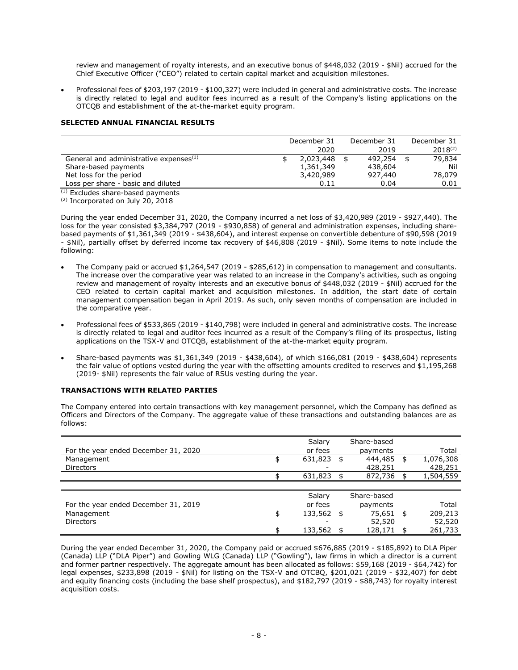review and management of royalty interests, and an executive bonus of \$448,032 (2019 - \$Nil) accrued for the Chief Executive Officer ("CEO") related to certain capital market and acquisition milestones.

• Professional fees of \$203,197 (2019 - \$100,327) were included in general and administrative costs. The increase is directly related to legal and auditor fees incurred as a result of the Company's listing applications on the OTCQB and establishment of the at-the-market equity program.

# **SELECTED ANNUAL FINANCIAL RESULTS**

|                                                    | December 31 | December 31 | December 31  |  |
|----------------------------------------------------|-------------|-------------|--------------|--|
|                                                    | 2020        | 2019        | $2018^{(2)}$ |  |
| General and administrative expenses <sup>(1)</sup> | 2,023,448   | 492,254     | 79,834       |  |
| Share-based payments                               | 1,361,349   | 438,604     | Nil          |  |
| Net loss for the period                            | 3,420,989   | 927,440     | 78,079       |  |
| Loss per share - basic and diluted                 | 0.11        | 0.04        | 0.01         |  |

 $(1)$  Excludes share-based payments

(2) Incorporated on July 20, 2018

During the year ended December 31, 2020, the Company incurred a net loss of \$3,420,989 (2019 - \$927,440). The loss for the year consisted \$3,384,797 (2019 - \$930,858) of general and administration expenses, including sharebased payments of \$1,361,349 (2019 - \$438,604), and interest expense on convertible debenture of \$90,598 (2019 - \$Nil), partially offset by deferred income tax recovery of \$46,808 (2019 - \$Nil). Some items to note include the following:

- The Company paid or accrued \$1,264,547 (2019 \$285,612) in compensation to management and consultants. The increase over the comparative year was related to an increase in the Company's activities, such as ongoing review and management of royalty interests and an executive bonus of \$448,032 (2019 - \$Nil) accrued for the CEO related to certain capital market and acquisition milestones. In addition, the start date of certain management compensation began in April 2019. As such, only seven months of compensation are included in the comparative year.
- Professional fees of \$533,865 (2019 \$140,798) were included in general and administrative costs. The increase is directly related to legal and auditor fees incurred as a result of the Company's filing of its prospectus, listing applications on the TSX-V and OTCQB, establishment of the at-the-market equity program.
- Share-based payments was \$1,361,349 (2019 \$438,604), of which \$166,081 (2019 \$438,604) represents the fair value of options vested during the year with the offsetting amounts credited to reserves and \$1,195,268 (2019- \$Nil) represents the fair value of RSUs vesting during the year.

# **TRANSACTIONS WITH RELATED PARTIES**

The Company entered into certain transactions with key management personnel, which the Company has defined as Officers and Directors of the Company. The aggregate value of these transactions and outstanding balances are as follows:

|                                      | Salary             | Share-based   |                 |
|--------------------------------------|--------------------|---------------|-----------------|
| For the year ended December 31, 2020 | or fees            | payments      | Total           |
| Management                           | \$<br>$631,823$ \$ | 444,485       | \$<br>1,076,308 |
| <b>Directors</b>                     |                    | 428,251       | 428,251         |
|                                      | 631,823            | 872,736       | 1,504,559       |
|                                      |                    |               |                 |
|                                      | Salary             | Share-based   |                 |
| For the year ended December 31, 2019 | or fees            | payments      | Total           |
| Management                           | \$<br>133,562 \$   | 75.651 \$     | 209,213         |
| <b>Directors</b>                     |                    | 52,520        | 52,520          |
|                                      | 133,562            | \$<br>128,171 | 261,733         |

During the year ended December 31, 2020, the Company paid or accrued \$676,885 (2019 - \$185,892) to DLA Piper (Canada) LLP ("DLA Piper") and Gowling WLG (Canada) LLP ("Gowling"), law firms in which a director is a current and former partner respectively. The aggregate amount has been allocated as follows: \$59,168 (2019 - \$64,742) for legal expenses, \$233,898 (2019 - \$Nil) for listing on the TSX-V and OTCBQ, \$201,021 (2019 - \$32,407) for debt and equity financing costs (including the base shelf prospectus), and \$182,797 (2019 - \$88,743) for royalty interest acquisition costs.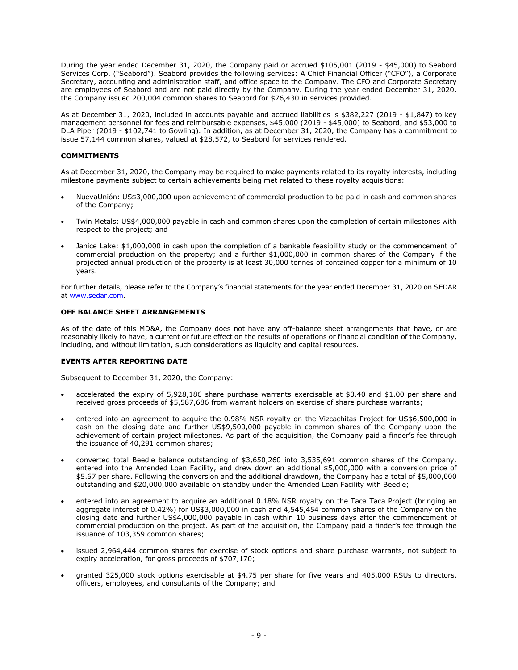During the year ended December 31, 2020, the Company paid or accrued \$105,001 (2019 - \$45,000) to Seabord Services Corp. ("Seabord"). Seabord provides the following services: A Chief Financial Officer ("CFO"), a Corporate Secretary, accounting and administration staff, and office space to the Company. The CFO and Corporate Secretary are employees of Seabord and are not paid directly by the Company. During the year ended December 31, 2020, the Company issued 200,004 common shares to Seabord for \$76,430 in services provided.

As at December 31, 2020, included in accounts payable and accrued liabilities is \$382,227 (2019 - \$1,847) to key management personnel for fees and reimbursable expenses, \$45,000 (2019 - \$45,000) to Seabord, and \$53,000 to DLA Piper (2019 - \$102,741 to Gowling). In addition, as at December 31, 2020, the Company has a commitment to issue 57,144 common shares, valued at \$28,572, to Seabord for services rendered.

# **COMMITMENTS**

As at December 31, 2020, the Company may be required to make payments related to its royalty interests, including milestone payments subject to certain achievements being met related to these royalty acquisitions:

- NuevaUnión: US\$3,000,000 upon achievement of commercial production to be paid in cash and common shares of the Company;
- Twin Metals: US\$4,000,000 payable in cash and common shares upon the completion of certain milestones with respect to the project; and
- Janice Lake: \$1,000,000 in cash upon the completion of a bankable feasibility study or the commencement of commercial production on the property; and a further \$1,000,000 in common shares of the Company if the projected annual production of the property is at least 30,000 tonnes of contained copper for a minimum of 10 years.

For further details, please refer to the Company's financial statements for the year ended December 31, 2020 on SEDAR at [www.sedar.com.](http://www.sedar.com/)

#### **OFF BALANCE SHEET ARRANGEMENTS**

As of the date of this MD&A, the Company does not have any off-balance sheet arrangements that have, or are reasonably likely to have, a current or future effect on the results of operations or financial condition of the Company, including, and without limitation, such considerations as liquidity and capital resources.

# **EVENTS AFTER REPORTING DATE**

Subsequent to December 31, 2020, the Company:

- accelerated the expiry of 5,928,186 share purchase warrants exercisable at \$0.40 and \$1.00 per share and received gross proceeds of \$5,587,686 from warrant holders on exercise of share purchase warrants;
- entered into an agreement to acquire the 0.98% NSR royalty on the Vizcachitas Project for US\$6,500,000 in cash on the closing date and further US\$9,500,000 payable in common shares of the Company upon the achievement of certain project milestones. As part of the acquisition, the Company paid a finder's fee through the issuance of 40,291 common shares;
- converted total Beedie balance outstanding of \$3,650,260 into 3,535,691 common shares of the Company, entered into the Amended Loan Facility, and drew down an additional \$5,000,000 with a conversion price of \$5.67 per share. Following the conversion and the additional drawdown, the Company has a total of \$5,000,000 outstanding and \$20,000,000 available on standby under the Amended Loan Facility with Beedie;
- entered into an agreement to acquire an additional 0.18% NSR royalty on the Taca Taca Project (bringing an aggregate interest of 0.42%) for US\$3,000,000 in cash and 4,545,454 common shares of the Company on the closing date and further US\$4,000,000 payable in cash within 10 business days after the commencement of commercial production on the project. As part of the acquisition, the Company paid a finder's fee through the issuance of 103,359 common shares;
- issued 2,964,444 common shares for exercise of stock options and share purchase warrants, not subject to expiry acceleration, for gross proceeds of \$707,170;
- granted 325,000 stock options exercisable at \$4.75 per share for five years and 405,000 RSUs to directors, officers, employees, and consultants of the Company; and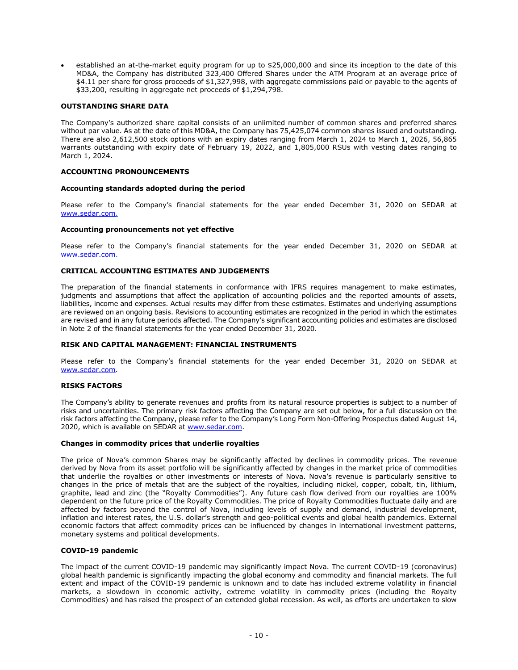• established an at-the-market equity program for up to \$25,000,000 and since its inception to the date of this MD&A, the Company has distributed 323,400 Offered Shares under the ATM Program at an average price of \$4.11 per share for gross proceeds of \$1,327,998, with aggregate commissions paid or payable to the agents of \$33,200, resulting in aggregate net proceeds of \$1,294,798.

# **OUTSTANDING SHARE DATA**

The Company's authorized share capital consists of an unlimited number of common shares and preferred shares without par value. As at the date of this MD&A, the Company has 75,425,074 common shares issued and outstanding. There are also 2,612,500 stock options with an expiry dates ranging from March 1, 2024 to March 1, 2026, 56,865 warrants outstanding with expiry date of February 19, 2022, and 1,805,000 RSUs with vesting dates ranging to March 1, 2024.

#### **ACCOUNTING PRONOUNCEMENTS**

#### **Accounting standards adopted during the period**

Please refer to the Company's financial statements for the year ended December 31, 2020 on SEDAR at [www.sedar.com.](http://www.sedar.com/)

#### **Accounting pronouncements not yet effective**

Please refer to the Company's financial statements for the year ended December 31, 2020 on SEDAR at [www.sedar.com.](http://www.sedar.com/)

#### **CRITICAL ACCOUNTING ESTIMATES AND JUDGEMENTS**

The preparation of the financial statements in conformance with IFRS requires management to make estimates, judgments and assumptions that affect the application of accounting policies and the reported amounts of assets, liabilities, income and expenses. Actual results may differ from these estimates. Estimates and underlying assumptions are reviewed on an ongoing basis. Revisions to accounting estimates are recognized in the period in which the estimates are revised and in any future periods affected. The Company's significant accounting policies and estimates are disclosed in Note 2 of the financial statements for the year ended December 31, 2020.

# **RISK AND CAPITAL MANAGEMENT: FINANCIAL INSTRUMENTS**

Please refer to the Company's financial statements for the year ended December 31, 2020 on SEDAR at [www.sedar.com.](http://www.sedar.com/)

#### **RISKS FACTORS**

The Company's ability to generate revenues and profits from its natural resource properties is subject to a number of risks and uncertainties. The primary risk factors affecting the Company are set out below, for a full discussion on the risk factors affecting the Company, please refer to the Company's Long Form Non-Offering Prospectus dated August 14, 2020, which is available on SEDAR a[t www.sedar.com.](http://www.sedar.com/)

#### **Changes in commodity prices that underlie royalties**

The price of Nova's common Shares may be significantly affected by declines in commodity prices. The revenue derived by Nova from its asset portfolio will be significantly affected by changes in the market price of commodities that underlie the royalties or other investments or interests of Nova. Nova's revenue is particularly sensitive to changes in the price of metals that are the subject of the royalties, including nickel, copper, cobalt, tin, lithium, graphite, lead and zinc (the "Royalty Commodities"). Any future cash flow derived from our royalties are 100% dependent on the future price of the Royalty Commodities. The price of Royalty Commodities fluctuate daily and are affected by factors beyond the control of Nova, including levels of supply and demand, industrial development, inflation and interest rates, the U.S. dollar's strength and geo-political events and global health pandemics. External economic factors that affect commodity prices can be influenced by changes in international investment patterns, monetary systems and political developments.

#### **COVID-19 pandemic**

The impact of the current COVID-19 pandemic may significantly impact Nova. The current COVID-19 (coronavirus) global health pandemic is significantly impacting the global economy and commodity and financial markets. The full extent and impact of the COVID-19 pandemic is unknown and to date has included extreme volatility in financial markets, a slowdown in economic activity, extreme volatility in commodity prices (including the Royalty Commodities) and has raised the prospect of an extended global recession. As well, as efforts are undertaken to slow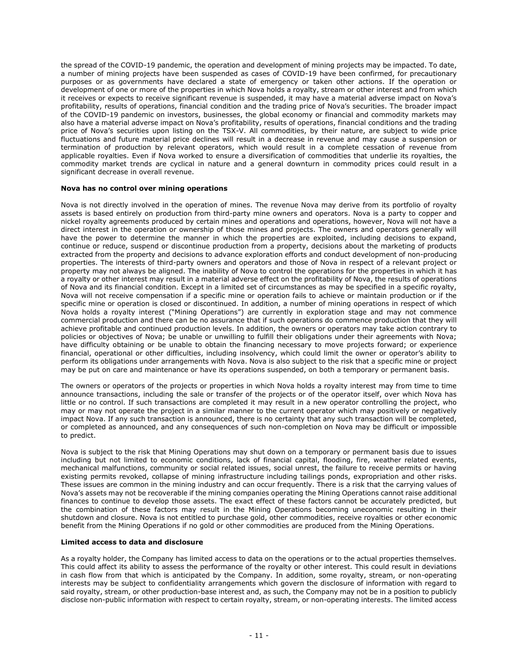the spread of the COVID-19 pandemic, the operation and development of mining projects may be impacted. To date, a number of mining projects have been suspended as cases of COVID-19 have been confirmed, for precautionary purposes or as governments have declared a state of emergency or taken other actions. If the operation or development of one or more of the properties in which Nova holds a royalty, stream or other interest and from which it receives or expects to receive significant revenue is suspended, it may have a material adverse impact on Nova's profitability, results of operations, financial condition and the trading price of Nova's securities. The broader impact of the COVID-19 pandemic on investors, businesses, the global economy or financial and commodity markets may also have a material adverse impact on Nova's profitability, results of operations, financial conditions and the trading price of Nova's securities upon listing on the TSX-V. All commodities, by their nature, are subject to wide price fluctuations and future material price declines will result in a decrease in revenue and may cause a suspension or termination of production by relevant operators, which would result in a complete cessation of revenue from applicable royalties. Even if Nova worked to ensure a diversification of commodities that underlie its royalties, the commodity market trends are cyclical in nature and a general downturn in commodity prices could result in a significant decrease in overall revenue.

# **Nova has no control over mining operations**

Nova is not directly involved in the operation of mines. The revenue Nova may derive from its portfolio of royalty assets is based entirely on production from third-party mine owners and operators. Nova is a party to copper and nickel royalty agreements produced by certain mines and operations and operations, however, Nova will not have a direct interest in the operation or ownership of those mines and projects. The owners and operators generally will have the power to determine the manner in which the properties are exploited, including decisions to expand, continue or reduce, suspend or discontinue production from a property, decisions about the marketing of products extracted from the property and decisions to advance exploration efforts and conduct development of non-producing properties. The interests of third-party owners and operators and those of Nova in respect of a relevant project or property may not always be aligned. The inability of Nova to control the operations for the properties in which it has a royalty or other interest may result in a material adverse effect on the profitability of Nova, the results of operations of Nova and its financial condition. Except in a limited set of circumstances as may be specified in a specific royalty, Nova will not receive compensation if a specific mine or operation fails to achieve or maintain production or if the specific mine or operation is closed or discontinued. In addition, a number of mining operations in respect of which Nova holds a royalty interest ("Mining Operations") are currently in exploration stage and may not commence commercial production and there can be no assurance that if such operations do commence production that they will achieve profitable and continued production levels. In addition, the owners or operators may take action contrary to policies or objectives of Nova; be unable or unwilling to fulfill their obligations under their agreements with Nova; have difficulty obtaining or be unable to obtain the financing necessary to move projects forward; or experience financial, operational or other difficulties, including insolvency, which could limit the owner or operator's ability to perform its obligations under arrangements with Nova. Nova is also subject to the risk that a specific mine or project may be put on care and maintenance or have its operations suspended, on both a temporary or permanent basis.

The owners or operators of the projects or properties in which Nova holds a royalty interest may from time to time announce transactions, including the sale or transfer of the projects or of the operator itself, over which Nova has little or no control. If such transactions are completed it may result in a new operator controlling the project, who may or may not operate the project in a similar manner to the current operator which may positively or negatively impact Nova. If any such transaction is announced, there is no certainty that any such transaction will be completed, or completed as announced, and any consequences of such non-completion on Nova may be difficult or impossible to predict.

Nova is subject to the risk that Mining Operations may shut down on a temporary or permanent basis due to issues including but not limited to economic conditions, lack of financial capital, flooding, fire, weather related events, mechanical malfunctions, community or social related issues, social unrest, the failure to receive permits or having existing permits revoked, collapse of mining infrastructure including tailings ponds, expropriation and other risks. These issues are common in the mining industry and can occur frequently. There is a risk that the carrying values of Nova's assets may not be recoverable if the mining companies operating the Mining Operations cannot raise additional finances to continue to develop those assets. The exact effect of these factors cannot be accurately predicted, but the combination of these factors may result in the Mining Operations becoming uneconomic resulting in their shutdown and closure. Nova is not entitled to purchase gold, other commodities, receive royalties or other economic benefit from the Mining Operations if no gold or other commodities are produced from the Mining Operations.

#### **Limited access to data and disclosure**

As a royalty holder, the Company has limited access to data on the operations or to the actual properties themselves. This could affect its ability to assess the performance of the royalty or other interest. This could result in deviations in cash flow from that which is anticipated by the Company. In addition, some royalty, stream, or non-operating interests may be subject to confidentiality arrangements which govern the disclosure of information with regard to said royalty, stream, or other production-base interest and, as such, the Company may not be in a position to publicly disclose non-public information with respect to certain royalty, stream, or non-operating interests. The limited access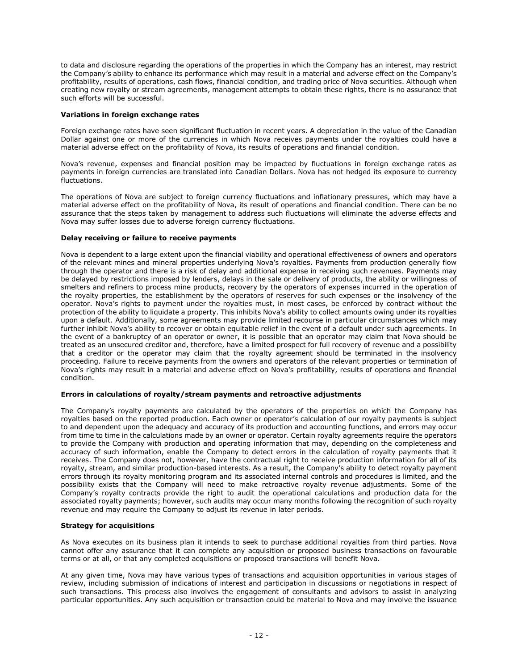to data and disclosure regarding the operations of the properties in which the Company has an interest, may restrict the Company's ability to enhance its performance which may result in a material and adverse effect on the Company's profitability, results of operations, cash flows, financial condition, and trading price of Nova securities. Although when creating new royalty or stream agreements, management attempts to obtain these rights, there is no assurance that such efforts will be successful.

# **Variations in foreign exchange rates**

Foreign exchange rates have seen significant fluctuation in recent years. A depreciation in the value of the Canadian Dollar against one or more of the currencies in which Nova receives payments under the royalties could have a material adverse effect on the profitability of Nova, its results of operations and financial condition.

Nova's revenue, expenses and financial position may be impacted by fluctuations in foreign exchange rates as payments in foreign currencies are translated into Canadian Dollars. Nova has not hedged its exposure to currency fluctuations.

The operations of Nova are subject to foreign currency fluctuations and inflationary pressures, which may have a material adverse effect on the profitability of Nova, its result of operations and financial condition. There can be no assurance that the steps taken by management to address such fluctuations will eliminate the adverse effects and Nova may suffer losses due to adverse foreign currency fluctuations.

# **Delay receiving or failure to receive payments**

Nova is dependent to a large extent upon the financial viability and operational effectiveness of owners and operators of the relevant mines and mineral properties underlying Nova's royalties. Payments from production generally flow through the operator and there is a risk of delay and additional expense in receiving such revenues. Payments may be delayed by restrictions imposed by lenders, delays in the sale or delivery of products, the ability or willingness of smelters and refiners to process mine products, recovery by the operators of expenses incurred in the operation of the royalty properties, the establishment by the operators of reserves for such expenses or the insolvency of the operator. Nova's rights to payment under the royalties must, in most cases, be enforced by contract without the protection of the ability to liquidate a property. This inhibits Nova's ability to collect amounts owing under its royalties upon a default. Additionally, some agreements may provide limited recourse in particular circumstances which may further inhibit Nova's ability to recover or obtain equitable relief in the event of a default under such agreements. In the event of a bankruptcy of an operator or owner, it is possible that an operator may claim that Nova should be treated as an unsecured creditor and, therefore, have a limited prospect for full recovery of revenue and a possibility that a creditor or the operator may claim that the royalty agreement should be terminated in the insolvency proceeding. Failure to receive payments from the owners and operators of the relevant properties or termination of Nova's rights may result in a material and adverse effect on Nova's profitability, results of operations and financial condition.

# **Errors in calculations of royalty/stream payments and retroactive adjustments**

The Company's royalty payments are calculated by the operators of the properties on which the Company has royalties based on the reported production. Each owner or operator's calculation of our royalty payments is subject to and dependent upon the adequacy and accuracy of its production and accounting functions, and errors may occur from time to time in the calculations made by an owner or operator. Certain royalty agreements require the operators to provide the Company with production and operating information that may, depending on the completeness and accuracy of such information, enable the Company to detect errors in the calculation of royalty payments that it receives. The Company does not, however, have the contractual right to receive production information for all of its royalty, stream, and similar production-based interests. As a result, the Company's ability to detect royalty payment errors through its royalty monitoring program and its associated internal controls and procedures is limited, and the possibility exists that the Company will need to make retroactive royalty revenue adjustments. Some of the Company's royalty contracts provide the right to audit the operational calculations and production data for the associated royalty payments; however, such audits may occur many months following the recognition of such royalty revenue and may require the Company to adjust its revenue in later periods.

# **Strategy for acquisitions**

As Nova executes on its business plan it intends to seek to purchase additional royalties from third parties. Nova cannot offer any assurance that it can complete any acquisition or proposed business transactions on favourable terms or at all, or that any completed acquisitions or proposed transactions will benefit Nova.

At any given time, Nova may have various types of transactions and acquisition opportunities in various stages of review, including submission of indications of interest and participation in discussions or negotiations in respect of such transactions. This process also involves the engagement of consultants and advisors to assist in analyzing particular opportunities. Any such acquisition or transaction could be material to Nova and may involve the issuance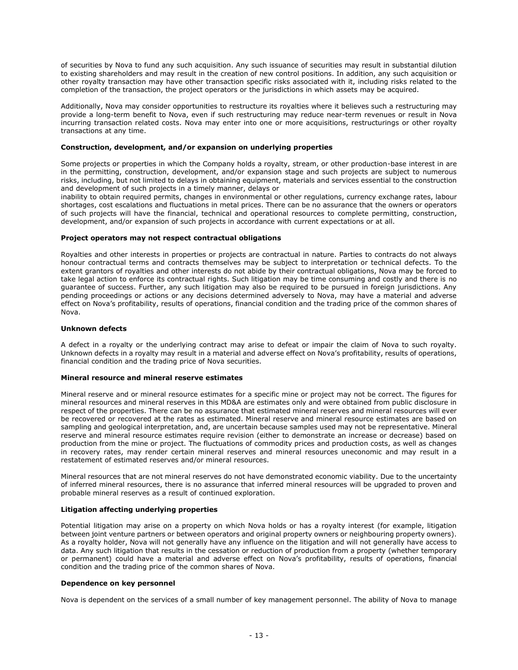of securities by Nova to fund any such acquisition. Any such issuance of securities may result in substantial dilution to existing shareholders and may result in the creation of new control positions. In addition, any such acquisition or other royalty transaction may have other transaction specific risks associated with it, including risks related to the completion of the transaction, the project operators or the jurisdictions in which assets may be acquired.

Additionally, Nova may consider opportunities to restructure its royalties where it believes such a restructuring may provide a long-term benefit to Nova, even if such restructuring may reduce near-term revenues or result in Nova incurring transaction related costs. Nova may enter into one or more acquisitions, restructurings or other royalty transactions at any time.

#### **Construction, development, and/or expansion on underlying properties**

Some projects or properties in which the Company holds a royalty, stream, or other production-base interest in are in the permitting, construction, development, and/or expansion stage and such projects are subject to numerous risks, including, but not limited to delays in obtaining equipment, materials and services essential to the construction and development of such projects in a timely manner, delays or

inability to obtain required permits, changes in environmental or other regulations, currency exchange rates, labour shortages, cost escalations and fluctuations in metal prices. There can be no assurance that the owners or operators of such projects will have the financial, technical and operational resources to complete permitting, construction, development, and/or expansion of such projects in accordance with current expectations or at all.

#### **Project operators may not respect contractual obligations**

Royalties and other interests in properties or projects are contractual in nature. Parties to contracts do not always honour contractual terms and contracts themselves may be subject to interpretation or technical defects. To the extent grantors of royalties and other interests do not abide by their contractual obligations, Nova may be forced to take legal action to enforce its contractual rights. Such litigation may be time consuming and costly and there is no guarantee of success. Further, any such litigation may also be required to be pursued in foreign jurisdictions. Any pending proceedings or actions or any decisions determined adversely to Nova, may have a material and adverse effect on Nova's profitability, results of operations, financial condition and the trading price of the common shares of Nova.

#### **Unknown defects**

A defect in a royalty or the underlying contract may arise to defeat or impair the claim of Nova to such royalty. Unknown defects in a royalty may result in a material and adverse effect on Nova's profitability, results of operations, financial condition and the trading price of Nova securities.

#### **Mineral resource and mineral reserve estimates**

Mineral reserve and or mineral resource estimates for a specific mine or project may not be correct. The figures for mineral resources and mineral reserves in this MD&A are estimates only and were obtained from public disclosure in respect of the properties. There can be no assurance that estimated mineral reserves and mineral resources will ever be recovered or recovered at the rates as estimated. Mineral reserve and mineral resource estimates are based on sampling and geological interpretation, and, are uncertain because samples used may not be representative. Mineral reserve and mineral resource estimates require revision (either to demonstrate an increase or decrease) based on production from the mine or project. The fluctuations of commodity prices and production costs, as well as changes in recovery rates, may render certain mineral reserves and mineral resources uneconomic and may result in a restatement of estimated reserves and/or mineral resources.

Mineral resources that are not mineral reserves do not have demonstrated economic viability. Due to the uncertainty of inferred mineral resources, there is no assurance that inferred mineral resources will be upgraded to proven and probable mineral reserves as a result of continued exploration.

#### **Litigation affecting underlying properties**

Potential litigation may arise on a property on which Nova holds or has a royalty interest (for example, litigation between joint venture partners or between operators and original property owners or neighbouring property owners). As a royalty holder, Nova will not generally have any influence on the litigation and will not generally have access to data. Any such litigation that results in the cessation or reduction of production from a property (whether temporary or permanent) could have a material and adverse effect on Nova's profitability, results of operations, financial condition and the trading price of the common shares of Nova.

#### **Dependence on key personnel**

Nova is dependent on the services of a small number of key management personnel. The ability of Nova to manage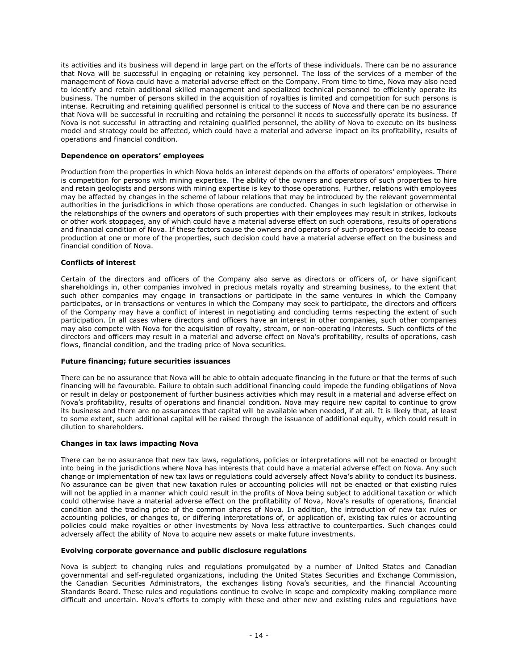its activities and its business will depend in large part on the efforts of these individuals. There can be no assurance that Nova will be successful in engaging or retaining key personnel. The loss of the services of a member of the management of Nova could have a material adverse effect on the Company. From time to time, Nova may also need to identify and retain additional skilled management and specialized technical personnel to efficiently operate its business. The number of persons skilled in the acquisition of royalties is limited and competition for such persons is intense. Recruiting and retaining qualified personnel is critical to the success of Nova and there can be no assurance that Nova will be successful in recruiting and retaining the personnel it needs to successfully operate its business. If Nova is not successful in attracting and retaining qualified personnel, the ability of Nova to execute on its business model and strategy could be affected, which could have a material and adverse impact on its profitability, results of operations and financial condition.

#### **Dependence on operators' employees**

Production from the properties in which Nova holds an interest depends on the efforts of operators' employees. There is competition for persons with mining expertise. The ability of the owners and operators of such properties to hire and retain geologists and persons with mining expertise is key to those operations. Further, relations with employees may be affected by changes in the scheme of labour relations that may be introduced by the relevant governmental authorities in the jurisdictions in which those operations are conducted. Changes in such legislation or otherwise in the relationships of the owners and operators of such properties with their employees may result in strikes, lockouts or other work stoppages, any of which could have a material adverse effect on such operations, results of operations and financial condition of Nova. If these factors cause the owners and operators of such properties to decide to cease production at one or more of the properties, such decision could have a material adverse effect on the business and financial condition of Nova.

# **Conflicts of interest**

Certain of the directors and officers of the Company also serve as directors or officers of, or have significant shareholdings in, other companies involved in precious metals royalty and streaming business, to the extent that such other companies may engage in transactions or participate in the same ventures in which the Company participates, or in transactions or ventures in which the Company may seek to participate, the directors and officers of the Company may have a conflict of interest in negotiating and concluding terms respecting the extent of such participation. In all cases where directors and officers have an interest in other companies, such other companies may also compete with Nova for the acquisition of royalty, stream, or non-operating interests. Such conflicts of the directors and officers may result in a material and adverse effect on Nova's profitability, results of operations, cash flows, financial condition, and the trading price of Nova securities.

# **Future financing; future securities issuances**

There can be no assurance that Nova will be able to obtain adequate financing in the future or that the terms of such financing will be favourable. Failure to obtain such additional financing could impede the funding obligations of Nova or result in delay or postponement of further business activities which may result in a material and adverse effect on Nova's profitability, results of operations and financial condition. Nova may require new capital to continue to grow its business and there are no assurances that capital will be available when needed, if at all. It is likely that, at least to some extent, such additional capital will be raised through the issuance of additional equity, which could result in dilution to shareholders.

#### **Changes in tax laws impacting Nova**

There can be no assurance that new tax laws, regulations, policies or interpretations will not be enacted or brought into being in the jurisdictions where Nova has interests that could have a material adverse effect on Nova. Any such change or implementation of new tax laws or regulations could adversely affect Nova's ability to conduct its business. No assurance can be given that new taxation rules or accounting policies will not be enacted or that existing rules will not be applied in a manner which could result in the profits of Nova being subject to additional taxation or which could otherwise have a material adverse effect on the profitability of Nova, Nova's results of operations, financial condition and the trading price of the common shares of Nova. In addition, the introduction of new tax rules or accounting policies, or changes to, or differing interpretations of, or application of, existing tax rules or accounting policies could make royalties or other investments by Nova less attractive to counterparties. Such changes could adversely affect the ability of Nova to acquire new assets or make future investments.

#### **Evolving corporate governance and public disclosure regulations**

Nova is subject to changing rules and regulations promulgated by a number of United States and Canadian governmental and self-regulated organizations, including the United States Securities and Exchange Commission, the Canadian Securities Administrators, the exchanges listing Nova's securities, and the Financial Accounting Standards Board. These rules and regulations continue to evolve in scope and complexity making compliance more difficult and uncertain. Nova's efforts to comply with these and other new and existing rules and regulations have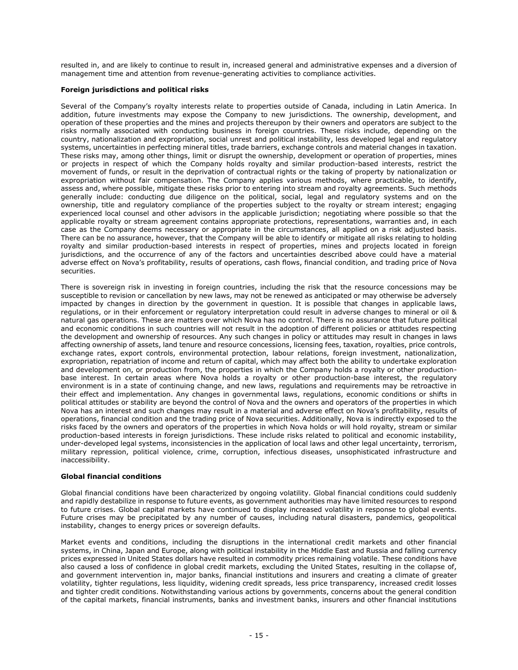resulted in, and are likely to continue to result in, increased general and administrative expenses and a diversion of management time and attention from revenue-generating activities to compliance activities.

# **Foreign jurisdictions and political risks**

Several of the Company's royalty interests relate to properties outside of Canada, including in Latin America. In addition, future investments may expose the Company to new jurisdictions. The ownership, development, and operation of these properties and the mines and projects thereupon by their owners and operators are subject to the risks normally associated with conducting business in foreign countries. These risks include, depending on the country, nationalization and expropriation, social unrest and political instability, less developed legal and regulatory systems, uncertainties in perfecting mineral titles, trade barriers, exchange controls and material changes in taxation. These risks may, among other things, limit or disrupt the ownership, development or operation of properties, mines or projects in respect of which the Company holds royalty and similar production-based interests, restrict the movement of funds, or result in the deprivation of contractual rights or the taking of property by nationalization or expropriation without fair compensation. The Company applies various methods, where practicable, to identify, assess and, where possible, mitigate these risks prior to entering into stream and royalty agreements. Such methods generally include: conducting due diligence on the political, social, legal and regulatory systems and on the ownership, title and regulatory compliance of the properties subject to the royalty or stream interest; engaging experienced local counsel and other advisors in the applicable jurisdiction; negotiating where possible so that the applicable royalty or stream agreement contains appropriate protections, representations, warranties and, in each case as the Company deems necessary or appropriate in the circumstances, all applied on a risk adjusted basis. There can be no assurance, however, that the Company will be able to identify or mitigate all risks relating to holding royalty and similar production-based interests in respect of properties, mines and projects located in foreign jurisdictions, and the occurrence of any of the factors and uncertainties described above could have a material adverse effect on Nova's profitability, results of operations, cash flows, financial condition, and trading price of Nova securities.

There is sovereign risk in investing in foreign countries, including the risk that the resource concessions may be susceptible to revision or cancellation by new laws, may not be renewed as anticipated or may otherwise be adversely impacted by changes in direction by the government in question. It is possible that changes in applicable laws, regulations, or in their enforcement or regulatory interpretation could result in adverse changes to mineral or oil & natural gas operations. These are matters over which Nova has no control. There is no assurance that future political and economic conditions in such countries will not result in the adoption of different policies or attitudes respecting the development and ownership of resources. Any such changes in policy or attitudes may result in changes in laws affecting ownership of assets, land tenure and resource concessions, licensing fees, taxation, royalties, price controls, exchange rates, export controls, environmental protection, labour relations, foreign investment, nationalization, expropriation, repatriation of income and return of capital, which may affect both the ability to undertake exploration and development on, or production from, the properties in which the Company holds a royalty or other productionbase interest. In certain areas where Nova holds a royalty or other production-base interest, the regulatory environment is in a state of continuing change, and new laws, regulations and requirements may be retroactive in their effect and implementation. Any changes in governmental laws, regulations, economic conditions or shifts in political attitudes or stability are beyond the control of Nova and the owners and operators of the properties in which Nova has an interest and such changes may result in a material and adverse effect on Nova's profitability, results of operations, financial condition and the trading price of Nova securities. Additionally, Nova is indirectly exposed to the risks faced by the owners and operators of the properties in which Nova holds or will hold royalty, stream or similar production-based interests in foreign jurisdictions. These include risks related to political and economic instability, under-developed legal systems, inconsistencies in the application of local laws and other legal uncertainty, terrorism, military repression, political violence, crime, corruption, infectious diseases, unsophisticated infrastructure and inaccessibility.

#### **Global financial conditions**

Global financial conditions have been characterized by ongoing volatility. Global financial conditions could suddenly and rapidly destabilize in response to future events, as government authorities may have limited resources to respond to future crises. Global capital markets have continued to display increased volatility in response to global events. Future crises may be precipitated by any number of causes, including natural disasters, pandemics, geopolitical instability, changes to energy prices or sovereign defaults.

Market events and conditions, including the disruptions in the international credit markets and other financial systems, in China, Japan and Europe, along with political instability in the Middle East and Russia and falling currency prices expressed in United States dollars have resulted in commodity prices remaining volatile. These conditions have also caused a loss of confidence in global credit markets, excluding the United States, resulting in the collapse of, and government intervention in, major banks, financial institutions and insurers and creating a climate of greater volatility, tighter regulations, less liquidity, widening credit spreads, less price transparency, increased credit losses and tighter credit conditions. Notwithstanding various actions by governments, concerns about the general condition of the capital markets, financial instruments, banks and investment banks, insurers and other financial institutions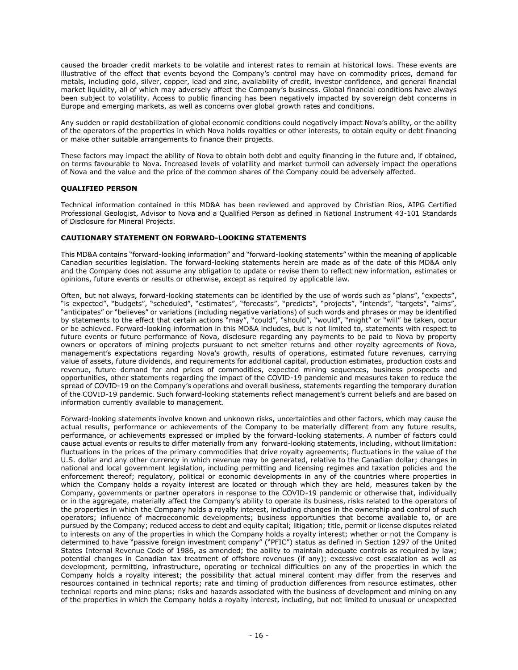caused the broader credit markets to be volatile and interest rates to remain at historical lows. These events are illustrative of the effect that events beyond the Company's control may have on commodity prices, demand for metals, including gold, silver, copper, lead and zinc, availability of credit, investor confidence, and general financial market liquidity, all of which may adversely affect the Company's business. Global financial conditions have always been subject to volatility. Access to public financing has been negatively impacted by sovereign debt concerns in Europe and emerging markets, as well as concerns over global growth rates and conditions.

Any sudden or rapid destabilization of global economic conditions could negatively impact Nova's ability, or the ability of the operators of the properties in which Nova holds royalties or other interests, to obtain equity or debt financing or make other suitable arrangements to finance their projects.

These factors may impact the ability of Nova to obtain both debt and equity financing in the future and, if obtained, on terms favourable to Nova. Increased levels of volatility and market turmoil can adversely impact the operations of Nova and the value and the price of the common shares of the Company could be adversely affected.

# **QUALIFIED PERSON**

Technical information contained in this MD&A has been reviewed and approved by Christian Rios, AIPG Certified Professional Geologist, Advisor to Nova and a Qualified Person as defined in National Instrument 43-101 Standards of Disclosure for Mineral Projects.

# **CAUTIONARY STATEMENT ON FORWARD-LOOKING STATEMENTS**

This MD&A contains "forward-looking information" and "forward-looking statements" within the meaning of applicable Canadian securities legislation. The forward-looking statements herein are made as of the date of this MD&A only and the Company does not assume any obligation to update or revise them to reflect new information, estimates or opinions, future events or results or otherwise, except as required by applicable law.

Often, but not always, forward-looking statements can be identified by the use of words such as "plans", "expects", "is expected", "budgets", "scheduled", "estimates", "forecasts", "predicts", "projects", "intends", "targets", "aims", "anticipates" or "believes" or variations (including negative variations) of such words and phrases or may be identified by statements to the effect that certain actions "may", "could", "should", "would", "might" or "will" be taken, occur or be achieved. Forward-looking information in this MD&A includes, but is not limited to, statements with respect to future events or future performance of Nova, disclosure regarding any payments to be paid to Nova by property owners or operators of mining projects pursuant to net smelter returns and other royalty agreements of Nova, management's expectations regarding Nova's growth, results of operations, estimated future revenues, carrying value of assets, future dividends, and requirements for additional capital, production estimates, production costs and revenue, future demand for and prices of commodities, expected mining sequences, business prospects and opportunities, other statements regarding the impact of the COVID-19 pandemic and measures taken to reduce the spread of COVID-19 on the Company's operations and overall business, statements regarding the temporary duration of the COVID-19 pandemic. Such forward-looking statements reflect management's current beliefs and are based on information currently available to management.

Forward-looking statements involve known and unknown risks, uncertainties and other factors, which may cause the actual results, performance or achievements of the Company to be materially different from any future results, performance, or achievements expressed or implied by the forward-looking statements. A number of factors could cause actual events or results to differ materially from any forward-looking statements, including, without limitation: fluctuations in the prices of the primary commodities that drive royalty agreements; fluctuations in the value of the U.S. dollar and any other currency in which revenue may be generated, relative to the Canadian dollar; changes in national and local government legislation, including permitting and licensing regimes and taxation policies and the enforcement thereof; regulatory, political or economic developments in any of the countries where properties in which the Company holds a royalty interest are located or through which they are held, measures taken by the Company, governments or partner operators in response to the COVID-19 pandemic or otherwise that, individually or in the aggregate, materially affect the Company's ability to operate its business, risks related to the operators of the properties in which the Company holds a royalty interest, including changes in the ownership and control of such operators; influence of macroeconomic developments; business opportunities that become available to, or are pursued by the Company; reduced access to debt and equity capital; litigation; title, permit or license disputes related to interests on any of the properties in which the Company holds a royalty interest; whether or not the Company is determined to have "passive foreign investment company" ("PFIC") status as defined in Section 1297 of the United States Internal Revenue Code of 1986, as amended; the ability to maintain adequate controls as required by law; potential changes in Canadian tax treatment of offshore revenues (if any); excessive cost escalation as well as development, permitting, infrastructure, operating or technical difficulties on any of the properties in which the Company holds a royalty interest; the possibility that actual mineral content may differ from the reserves and resources contained in technical reports; rate and timing of production differences from resource estimates, other technical reports and mine plans; risks and hazards associated with the business of development and mining on any of the properties in which the Company holds a royalty interest, including, but not limited to unusual or unexpected